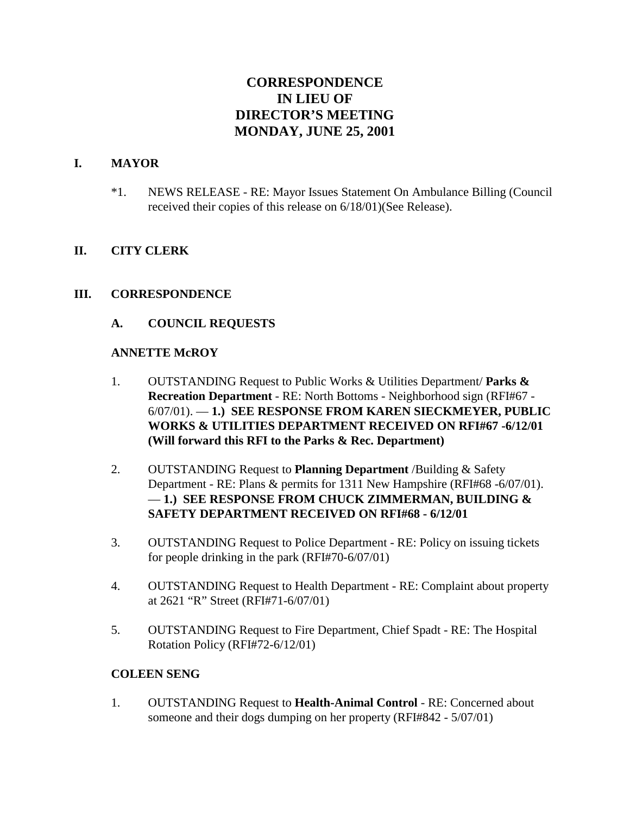# **CORRESPONDENCE IN LIEU OF DIRECTOR'S MEETING MONDAY, JUNE 25, 2001**

#### **I. MAYOR**

\*1. NEWS RELEASE - RE: Mayor Issues Statement On Ambulance Billing (Council received their copies of this release on 6/18/01)(See Release).

#### **II. CITY CLERK**

#### **III. CORRESPONDENCE**

#### **A. COUNCIL REQUESTS**

#### **ANNETTE McROY**

- 1. OUTSTANDING Request to Public Works & Utilities Department/ **Parks & Recreation Department** - RE: North Bottoms - Neighborhood sign (RFI#67 - 6/07/01). — **1.) SEE RESPONSE FROM KAREN SIECKMEYER, PUBLIC WORKS & UTILITIES DEPARTMENT RECEIVED ON RFI#67 -6/12/01 (Will forward this RFI to the Parks & Rec. Department)**
- 2. OUTSTANDING Request to **Planning Department** /Building & Safety Department - RE: Plans & permits for 1311 New Hampshire (RFI#68 -6/07/01). — **1.) SEE RESPONSE FROM CHUCK ZIMMERMAN, BUILDING & SAFETY DEPARTMENT RECEIVED ON RFI#68 - 6/12/01**
- 3. OUTSTANDING Request to Police Department RE: Policy on issuing tickets for people drinking in the park (RFI#70-6/07/01)
- 4. OUTSTANDING Request to Health Department RE: Complaint about property at 2621 "R" Street (RFI#71-6/07/01)
- 5. OUTSTANDING Request to Fire Department, Chief Spadt RE: The Hospital Rotation Policy (RFI#72-6/12/01)

#### **COLEEN SENG**

1. OUTSTANDING Request to **Health-Animal Control** - RE: Concerned about someone and their dogs dumping on her property (RFI#842 - 5/07/01)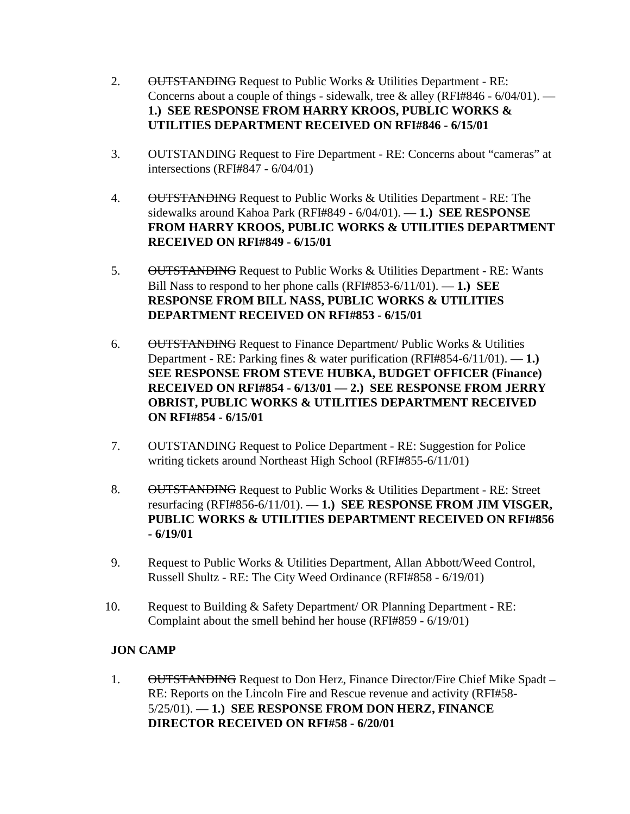- 2. OUTSTANDING Request to Public Works & Utilities Department RE: Concerns about a couple of things - sidewalk, tree & alley (RFI#846 -  $6/04/01$ ). — **1.) SEE RESPONSE FROM HARRY KROOS, PUBLIC WORKS & UTILITIES DEPARTMENT RECEIVED ON RFI#846 - 6/15/01**
- 3. OUTSTANDING Request to Fire Department RE: Concerns about "cameras" at intersections (RFI#847 - 6/04/01)
- 4. OUTSTANDING Request to Public Works & Utilities Department RE: The sidewalks around Kahoa Park (RFI#849 - 6/04/01). — **1.) SEE RESPONSE FROM HARRY KROOS, PUBLIC WORKS & UTILITIES DEPARTMENT RECEIVED ON RFI#849 - 6/15/01**
- 5. OUTSTANDING Request to Public Works & Utilities Department RE: Wants Bill Nass to respond to her phone calls (RFI#853-6/11/01). — **1.) SEE RESPONSE FROM BILL NASS, PUBLIC WORKS & UTILITIES DEPARTMENT RECEIVED ON RFI#853 - 6/15/01**
- 6. OUTSTANDING Request to Finance Department/ Public Works & Utilities Department - RE: Parking fines & water purification (RFI#854-6/11/01). — **1.) SEE RESPONSE FROM STEVE HUBKA, BUDGET OFFICER (Finance) RECEIVED ON RFI#854 - 6/13/01 — 2.) SEE RESPONSE FROM JERRY OBRIST, PUBLIC WORKS & UTILITIES DEPARTMENT RECEIVED ON RFI#854 - 6/15/01**
- 7. OUTSTANDING Request to Police Department RE: Suggestion for Police writing tickets around Northeast High School (RFI#855-6/11/01)
- 8. OUTSTANDING Request to Public Works & Utilities Department RE: Street resurfacing (RFI#856-6/11/01). — **1.) SEE RESPONSE FROM JIM VISGER, PUBLIC WORKS & UTILITIES DEPARTMENT RECEIVED ON RFI#856 - 6/19/01**
- 9. Request to Public Works & Utilities Department, Allan Abbott/Weed Control, Russell Shultz - RE: The City Weed Ordinance (RFI#858 - 6/19/01)
- 10. Request to Building & Safety Department/ OR Planning Department RE: Complaint about the smell behind her house (RFI#859 - 6/19/01)

# **JON CAMP**

1. OUTSTANDING Request to Don Herz, Finance Director/Fire Chief Mike Spadt – RE: Reports on the Lincoln Fire and Rescue revenue and activity (RFI#58- 5/25/01). — **1.) SEE RESPONSE FROM DON HERZ, FINANCE DIRECTOR RECEIVED ON RFI#58 - 6/20/01**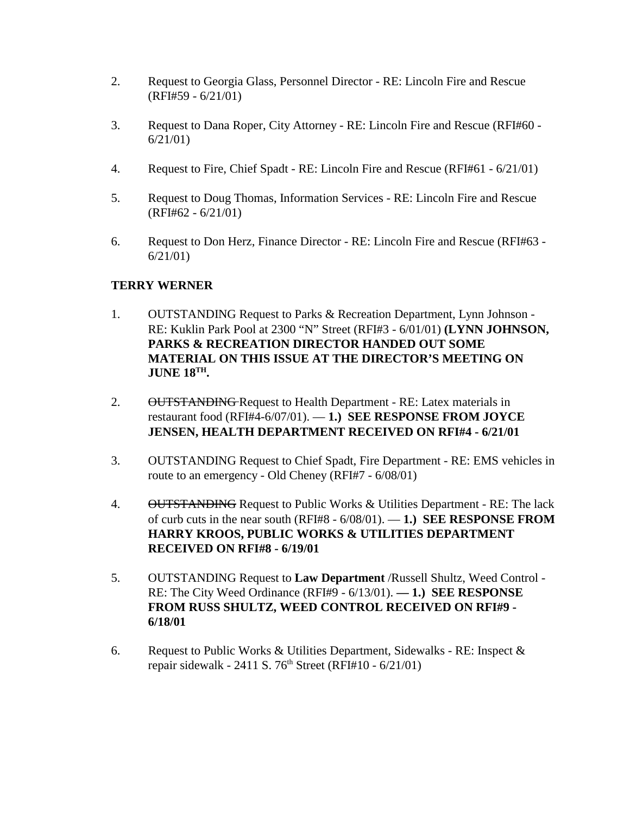- 2. Request to Georgia Glass, Personnel Director RE: Lincoln Fire and Rescue (RFI#59 - 6/21/01)
- 3. Request to Dana Roper, City Attorney RE: Lincoln Fire and Rescue (RFI#60 6/21/01)
- 4. Request to Fire, Chief Spadt RE: Lincoln Fire and Rescue (RFI#61 6/21/01)
- 5. Request to Doug Thomas, Information Services RE: Lincoln Fire and Rescue (RFI#62 - 6/21/01)
- 6. Request to Don Herz, Finance Director RE: Lincoln Fire and Rescue (RFI#63 6/21/01)

# **TERRY WERNER**

- 1. OUTSTANDING Request to Parks & Recreation Department, Lynn Johnson RE: Kuklin Park Pool at 2300 "N" Street (RFI#3 - 6/01/01) **(LYNN JOHNSON, PARKS & RECREATION DIRECTOR HANDED OUT SOME MATERIAL ON THIS ISSUE AT THE DIRECTOR'S MEETING ON JUNE 18TH.**
- 2. OUTSTANDING Request to Health Department RE: Latex materials in restaurant food (RFI#4-6/07/01). — **1.) SEE RESPONSE FROM JOYCE JENSEN, HEALTH DEPARTMENT RECEIVED ON RFI#4 - 6/21/01**
- 3. OUTSTANDING Request to Chief Spadt, Fire Department RE: EMS vehicles in route to an emergency - Old Cheney (RFI#7 - 6/08/01)
- 4. OUTSTANDING Request to Public Works & Utilities Department RE: The lack of curb cuts in the near south (RFI#8 - 6/08/01). — **1.) SEE RESPONSE FROM HARRY KROOS, PUBLIC WORKS & UTILITIES DEPARTMENT RECEIVED ON RFI#8 - 6/19/01**
- 5. OUTSTANDING Request to **Law Department** /Russell Shultz, Weed Control RE: The City Weed Ordinance (RFI#9 - 6/13/01). **— 1.) SEE RESPONSE FROM RUSS SHULTZ, WEED CONTROL RECEIVED ON RFI#9 - 6/18/01**
- 6. Request to Public Works & Utilities Department, Sidewalks RE: Inspect & repair sidewalk - 2411 S.  $76<sup>th</sup>$  Street (RFI#10 - 6/21/01)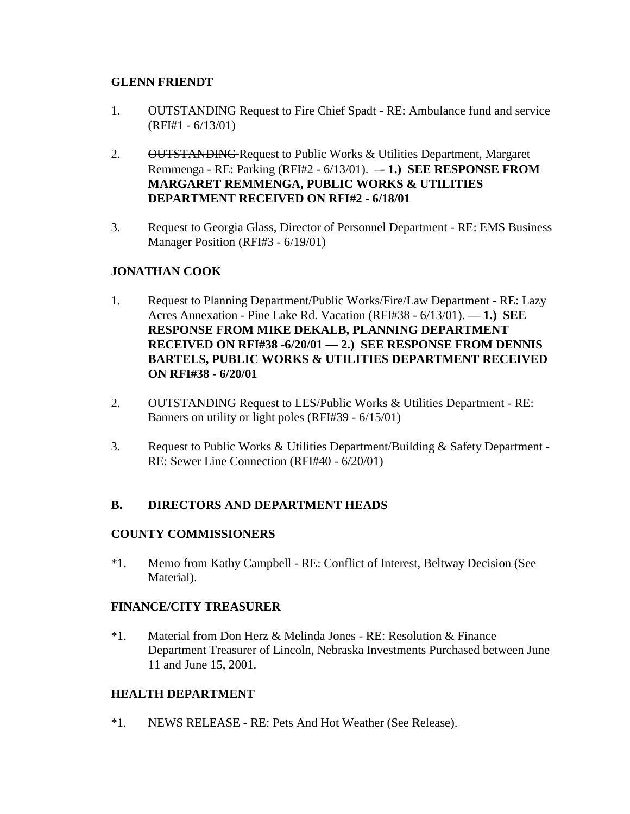### **GLENN FRIENDT**

- 1. OUTSTANDING Request to Fire Chief Spadt RE: Ambulance fund and service (RFI#1 - 6/13/01)
- 2. OUTSTANDING Request to Public Works & Utilities Department, Margaret Remmenga - RE: Parking (RFI#2 - 6/13/01). –- **1.) SEE RESPONSE FROM MARGARET REMMENGA, PUBLIC WORKS & UTILITIES DEPARTMENT RECEIVED ON RFI#2 - 6/18/01**
- 3. Request to Georgia Glass, Director of Personnel Department RE: EMS Business Manager Position (RFI#3 - 6/19/01)

# **JONATHAN COOK**

- 1. Request to Planning Department/Public Works/Fire/Law Department RE: Lazy Acres Annexation - Pine Lake Rd. Vacation (RFI#38 - 6/13/01). — **1.) SEE RESPONSE FROM MIKE DEKALB, PLANNING DEPARTMENT RECEIVED ON RFI#38 -6/20/01 — 2.) SEE RESPONSE FROM DENNIS BARTELS, PUBLIC WORKS & UTILITIES DEPARTMENT RECEIVED ON RFI#38 - 6/20/01**
- 2. OUTSTANDING Request to LES/Public Works & Utilities Department RE: Banners on utility or light poles (RFI#39 - 6/15/01)
- 3. Request to Public Works & Utilities Department/Building & Safety Department RE: Sewer Line Connection (RFI#40 - 6/20/01)

# **B. DIRECTORS AND DEPARTMENT HEADS**

#### **COUNTY COMMISSIONERS**

\*1. Memo from Kathy Campbell - RE: Conflict of Interest, Beltway Decision (See Material).

#### **FINANCE/CITY TREASURER**

\*1. Material from Don Herz & Melinda Jones - RE: Resolution & Finance Department Treasurer of Lincoln, Nebraska Investments Purchased between June 11 and June 15, 2001.

#### **HEALTH DEPARTMENT**

\*1. NEWS RELEASE - RE: Pets And Hot Weather (See Release).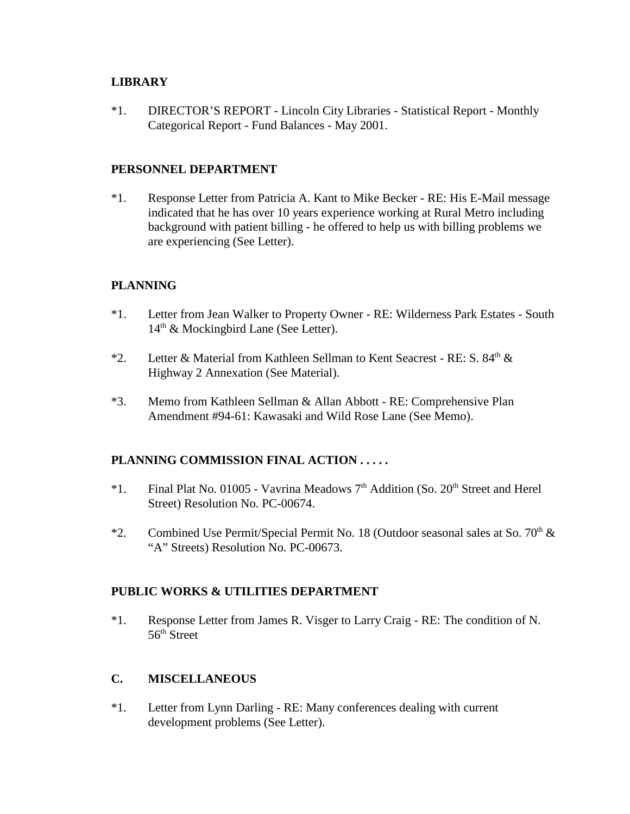#### **LIBRARY**

\*1. DIRECTOR'S REPORT - Lincoln City Libraries - Statistical Report - Monthly Categorical Report - Fund Balances - May 2001.

#### **PERSONNEL DEPARTMENT**

\*1. Response Letter from Patricia A. Kant to Mike Becker - RE: His E-Mail message indicated that he has over 10 years experience working at Rural Metro including background with patient billing - he offered to help us with billing problems we are experiencing (See Letter).

# **PLANNING**

- \*1. Letter from Jean Walker to Property Owner RE: Wilderness Park Estates South 14<sup>th</sup> & Mockingbird Lane (See Letter).
- \*2. Letter & Material from Kathleen Sellman to Kent Seacrest RE: S. 84<sup>th</sup> & Highway 2 Annexation (See Material).
- \*3. Memo from Kathleen Sellman & Allan Abbott RE: Comprehensive Plan Amendment #94-61: Kawasaki and Wild Rose Lane (See Memo).

# **PLANNING COMMISSION FINAL ACTION . . . . .**

- \*1. Final Plat No. 01005 Vavrina Meadows  $7<sup>th</sup>$  Addition (So. 20<sup>th</sup> Street and Herel Street) Resolution No. PC-00674.
- \*2. Combined Use Permit/Special Permit No. 18 (Outdoor seasonal sales at So. 70<sup>th</sup>  $\&$ "A" Streets) Resolution No. PC-00673.

# **PUBLIC WORKS & UTILITIES DEPARTMENT**

\*1. Response Letter from James R. Visger to Larry Craig - RE: The condition of N. 56th Street

# **C. MISCELLANEOUS**

\*1. Letter from Lynn Darling - RE: Many conferences dealing with current development problems (See Letter).